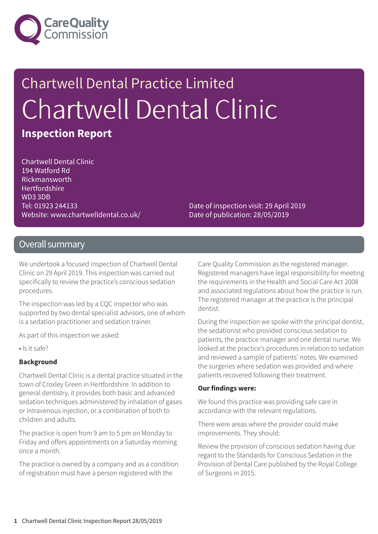

# Chartwell Dental Practice Limited Chartwell Dental Clinic

### **Inspection Report**

Chartwell Dental Clinic 194 Watford Rd Rickmansworth **Hertfordshire** WD3 3DB Tel: 01923 244133 Website: www.chartwelldental.co.uk/

Date of inspection visit: 29 April 2019 Date of publication: 28/05/2019

#### Overall summary

We undertook a focused inspection of Chartwell Dental Clinic on 29 April 2019. This inspection was carried out specifically to review the practice's conscious sedation procedures.

The inspection was led by a CQC inspector who was supported by two dental specialist advisors, one of whom is a sedation practitioner and sedation trainer.

As part of this inspection we asked:

• Is it safe?

#### **Background**

Chartwell Dental Clinic is a dental practice situated in the town of Croxley Green in Hertfordshire. In addition to general dentistry, it provides both basic and advanced sedation techniques administered by inhalation of gases or intravenous injection, or a combination of both to children and adults.

The practice is open from 9 am to 5 pm on Monday to Friday and offers appointments on a Saturday morning once a month.

The practice is owned by a company and as a condition of registration must have a person registered with the

Care Quality Commission as the registered manager. Registered managers have legal responsibility for meeting the requirements in the Health and Social Care Act 2008 and associated regulations about how the practice is run. The registered manager at the practice is the principal dentist.

During the inspection we spoke with the principal dentist, the sedationist who provided conscious sedation to patients, the practice manager and one dental nurse. We looked at the practice's procedures in relation to sedation and reviewed a sample of patients' notes. We examined the surgeries where sedation was provided and where patients recovered following their treatment.

#### **Our findings were:**

We found this practice was providing safe care in accordance with the relevant regulations.

There were areas where the provider could make improvements. They should:

Review the provision of conscious sedation having due regard to the Standards for Conscious Sedation in the Provision of Dental Care published by the Royal College of Surgeons in 2015.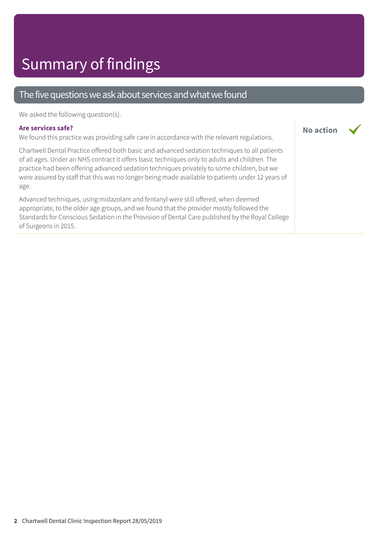#### The five questions we ask about services and what we found

We asked the following question(s).

#### **Are services safe?**

We found this practice was providing safe care in accordance with the relevant regulations.

Chartwell Dental Practice offered both basic and advanced sedation techniques to all patients of all ages. Under an NHS contract it offers basic techniques only to adults and children. The practice had been offering advanced sedation techniques privately to some children, but we were assured by staff that this was no longer being made available to patients under 12 years of age.

Advanced techniques, using midazolam and fentanyl were still offered, when deemed appropriate, to the older age groups, and we found that the provider mostly followed the Standards for Conscious Sedation in the Provision of Dental Care published by the Royal College of Surgeons in 2015.

**No action**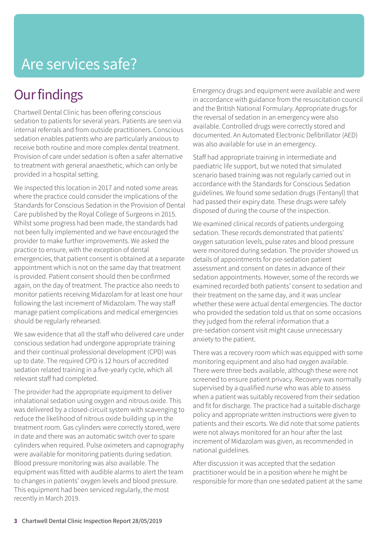## Are services safe?

### **Our findings**

Chartwell Dental Clinic has been offering conscious sedation to patients for several years. Patients are seen via internal referrals and from outside practitioners. Conscious sedation enables patients who are particularly anxious to receive both routine and more complex dental treatment. Provision of care under sedation is often a safer alternative to treatment with general anaesthetic, which can only be provided in a hospital setting.

We inspected this location in 2017 and noted some areas where the practice could consider the implications of the Standards for Conscious Sedation in the Provision of Dental Care published by the Royal College of Surgeons in 2015. Whilst some progress had been made, the standards had not been fully implemented and we have encouraged the provider to make further improvements. We asked the practice to ensure, with the exception of dental emergencies, that patient consent is obtained at a separate appointment which is not on the same day that treatment is provided. Patient consent should then be confirmed again, on the day of treatment. The practice also needs to monitor patients receiving Midazolam for at least one hour following the last increment of Midazolam. The way staff manage patient complications and medical emergencies should be regularly rehearsed.

We saw evidence that all the staff who delivered care under conscious sedation had undergone appropriate training and their continual professional development (CPD) was up to date. The required CPD is 12 hours of accredited sedation related training in a five-yearly cycle, which all relevant staff had completed.

The provider had the appropriate equipment to deliver inhalational sedation using oxygen and nitrous oxide. This was delivered by a closed-circuit system with scavenging to reduce the likelihood of nitrous oxide building up in the treatment room. Gas cylinders were correctly stored, were in date and there was an automatic switch over to spare cylinders when required. Pulse oximeters and capnography were available for monitoring patients during sedation. Blood pressure monitoring was also available. The equipment was fitted with audible alarms to alert the team to changes in patients' oxygen levels and blood pressure. This equipment had been serviced regularly, the most recently in March 2019.

Emergency drugs and equipment were available and were in accordance with guidance from the resuscitation council and the British National Formulary. Appropriate drugs for the reversal of sedation in an emergency were also available. Controlled drugs were correctly stored and documented. An Automated Electronic Defibrillator (AED) was also available for use in an emergency.

Staff had appropriate training in intermediate and paediatric life support, but we noted that simulated scenario based training was not regularly carried out in accordance with the Standards for Conscious Sedation guidelines. We found some sedation drugs (Fentanyl) that had passed their expiry date. These drugs were safely disposed of during the course of the inspection.

We examined clinical records of patients undergoing sedation. These records demonstrated that patients' oxygen saturation levels, pulse rates and blood pressure were monitored during sedation. The provider showed us details of appointments for pre-sedation patient assessment and consent on dates in advance of their sedation appointments. However, some of the records we examined recorded both patients' consent to sedation and their treatment on the same day, and it was unclear whether these were actual dental emergencies. The doctor who provided the sedation told us that on some occasions they judged from the referral information that a pre-sedation consent visit might cause unnecessary anxiety to the patient.

There was a recovery room which was equipped with some monitoring equipment and also had oxygen available. There were three beds available, although these were not screened to ensure patient privacy. Recovery was normally supervised by a qualified nurse who was able to assess when a patient was suitably recovered from their sedation and fit for discharge. The practice had a suitable discharge policy and appropriate written instructions were given to patients and their escorts. We did note that some patients were not always monitored for an hour after the last increment of Midazolam was given, as recommended in national guidelines.

After discussion it was accepted that the sedation practitioner would be in a position where he might be responsible for more than one sedated patient at the same